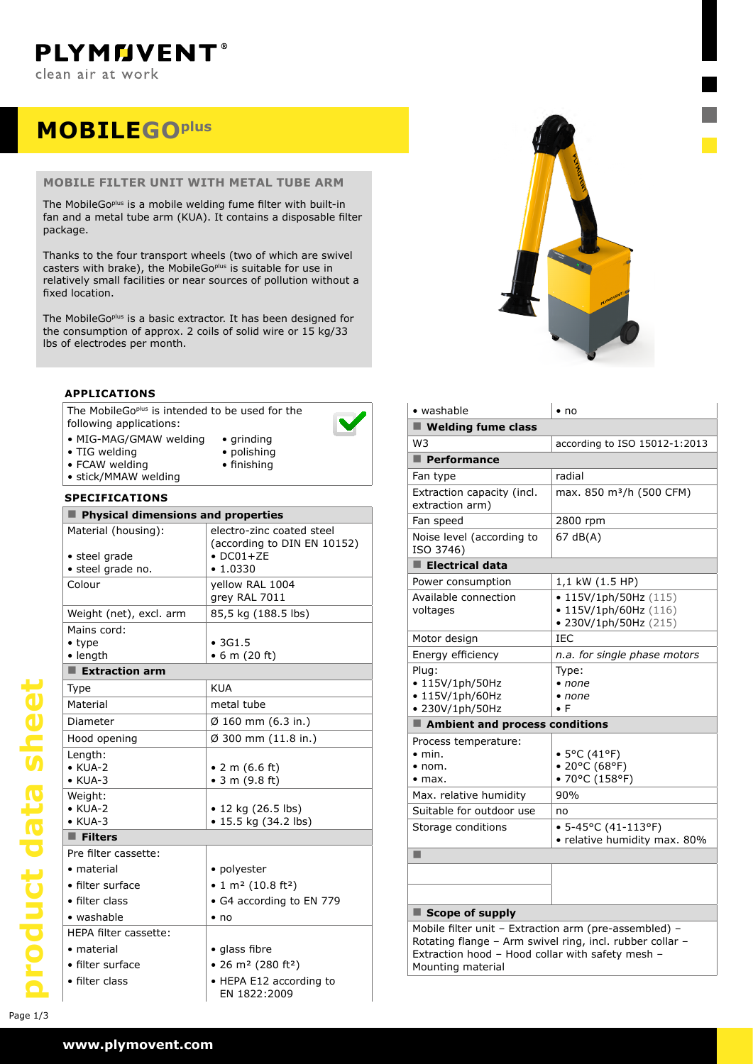**PLYMMVENT®** clean air at work

## **MOBILEgoplus**

### **mobile filter unit with METAL tube arm**

The MobileGo<sup>plus</sup> is a mobile welding fume filter with built-in fan and a metal tube arm (KUA). It contains a disposable filter package.

Thanks to the four transport wheels (two of which are swivel casters with brake), the MobileGo<sup>plus</sup> is suitable for use in relatively small facilities or near sources of pollution without a fixed location.

The MobileGo<sup>plus</sup> is a basic extractor. It has been designed for the consumption of approx. 2 coils of solid wire or 15 kg/33 lbs of electrodes per month.

#### **applications**

The MobileGo<sup>plus</sup> is intended to be used for the following applications:



- • MIG-MAG/GMAW welding • TIG welding
- • grinding • polishing • finishing
- FCAW welding
- • stick/MMAW welding

#### **specifications**

| Physical dimensions and properties |                                            |  |  |  |
|------------------------------------|--------------------------------------------|--|--|--|
| Material (housing):                | electro-zinc coated steel                  |  |  |  |
|                                    | (according to DIN EN 10152)                |  |  |  |
| • steel grade                      | $\bullet$ DC01+ZE<br>• 1.0330              |  |  |  |
| • steel grade no.                  |                                            |  |  |  |
| Colour                             | yellow RAL 1004<br>grey RAL 7011           |  |  |  |
| Weight (net), excl. arm            | 85,5 kg (188.5 lbs)                        |  |  |  |
| Mains cord:                        |                                            |  |  |  |
| $\bullet$ type                     | •3G1.5                                     |  |  |  |
| $\bullet$ length                   | $\bullet$ 6 m (20 ft)                      |  |  |  |
| $\blacksquare$ Extraction arm      |                                            |  |  |  |
| Type                               | <b>KUA</b>                                 |  |  |  |
| Material                           | metal tube                                 |  |  |  |
| Diameter                           | $\emptyset$ 160 mm (6.3 in.)               |  |  |  |
| Hood opening                       | $\varnothing$ 300 mm (11.8 in.)            |  |  |  |
| Length:                            |                                            |  |  |  |
| $\bullet$ KUA-2                    | • 2 m $(6.6 \text{ ft})$                   |  |  |  |
| $\bullet$ KUA-3                    | $\bullet$ 3 m (9.8 ft)                     |  |  |  |
| Weight:                            |                                            |  |  |  |
| $\bullet$ KUA-2                    | $\bullet$ 12 kg (26.5 lbs)                 |  |  |  |
| $\bullet$ KUA-3                    | • 15.5 kg (34.2 lbs)                       |  |  |  |
| $\blacksquare$ Filters             |                                            |  |  |  |
| Pre filter cassette:               |                                            |  |  |  |
| • material                         | • polyester                                |  |  |  |
| • filter surface                   | • 1 m <sup>2</sup> (10.8 ft <sup>2</sup> ) |  |  |  |
| • filter class                     | • G4 according to EN 779                   |  |  |  |
| • washable                         | $\bullet$ no                               |  |  |  |
| HEPA filter cassette:              |                                            |  |  |  |
| • material                         | • glass fibre                              |  |  |  |
| • filter surface                   | • 26 m <sup>2</sup> (280 ft <sup>2</sup> ) |  |  |  |
| • filter class                     | • HEPA E12 according to<br>EN 1822:2009    |  |  |  |



| • washable                                                                                                                                                                                 | $\cdot$ no                                                                        |  |  |  |
|--------------------------------------------------------------------------------------------------------------------------------------------------------------------------------------------|-----------------------------------------------------------------------------------|--|--|--|
| $\blacksquare$ Welding fume class                                                                                                                                                          |                                                                                   |  |  |  |
| W3                                                                                                                                                                                         | according to ISO 15012-1:2013                                                     |  |  |  |
| Performance                                                                                                                                                                                |                                                                                   |  |  |  |
| Fan type                                                                                                                                                                                   | radial                                                                            |  |  |  |
| Extraction capacity (incl.<br>extraction arm)                                                                                                                                              | max. 850 m <sup>3</sup> /h (500 CFM)                                              |  |  |  |
| Fan speed                                                                                                                                                                                  | 2800 rpm                                                                          |  |  |  |
| Noise level (according to<br>ISO 3746)                                                                                                                                                     | 67 dB(A)                                                                          |  |  |  |
| $\blacksquare$ Electrical data                                                                                                                                                             |                                                                                   |  |  |  |
| Power consumption                                                                                                                                                                          | 1,1 kW (1.5 HP)                                                                   |  |  |  |
| Available connection<br>voltages                                                                                                                                                           | • $115V/1ph/50Hz$ (115)<br>$\bullet$ 115V/1ph/60Hz (116)<br>• 230V/1ph/50Hz (215) |  |  |  |
| Motor design                                                                                                                                                                               | TEC.                                                                              |  |  |  |
| Energy efficiency                                                                                                                                                                          | n.a. for single phase motors                                                      |  |  |  |
| Plug:<br>• 115V/1ph/50Hz<br>$\cdot$ 115V/1ph/60Hz<br>• 230V/1ph/50Hz                                                                                                                       | Type:<br>• none<br>$\bullet$ none<br>$\bullet$ F                                  |  |  |  |
| Ambient and process conditions                                                                                                                                                             |                                                                                   |  |  |  |
| Process temperature:<br>$\bullet$ min.<br>$\bullet$ nom.<br>$\bullet$ max.                                                                                                                 | • 5°C (41°F)<br>• 20°C (68°F)<br>• 70°C (158°F)                                   |  |  |  |
| Max. relative humidity                                                                                                                                                                     | 90%                                                                               |  |  |  |
| Suitable for outdoor use                                                                                                                                                                   | no                                                                                |  |  |  |
| Storage conditions                                                                                                                                                                         | $\bullet$ 5-45°C (41-113°F)<br>• relative humidity max. 80%                       |  |  |  |
| ■                                                                                                                                                                                          |                                                                                   |  |  |  |
|                                                                                                                                                                                            |                                                                                   |  |  |  |
|                                                                                                                                                                                            |                                                                                   |  |  |  |
| $\blacksquare$ Scope of supply                                                                                                                                                             |                                                                                   |  |  |  |
| Mobile filter unit - Extraction arm (pre-assembled) -<br>Rotating flange - Arm swivel ring, incl. rubber collar -<br>Extraction hood - Hood collar with safety mesh -<br>Mounting material |                                                                                   |  |  |  |

product data sheet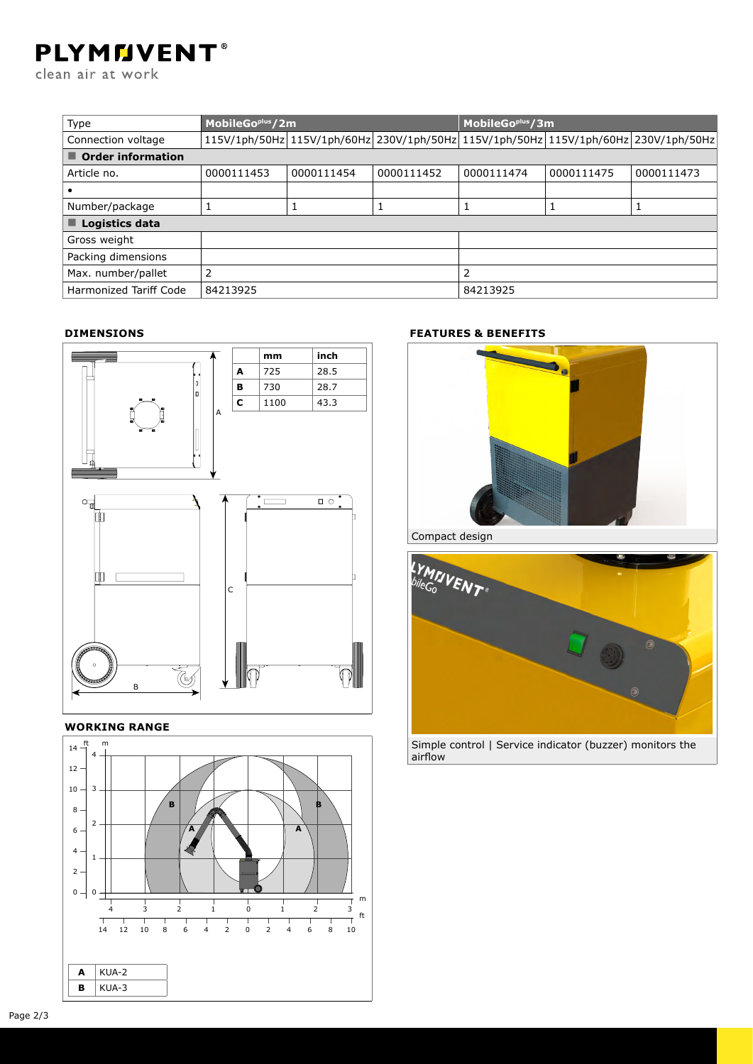# **PLYMMVENT®**

clean air at work

| Type                             | MobileGo <sup>plus</sup> /2m |            |            | MobileGo <sup>plus</sup> /3m                                                        |            |            |  |
|----------------------------------|------------------------------|------------|------------|-------------------------------------------------------------------------------------|------------|------------|--|
| Connection voltage               |                              |            |            | 115V/1ph/50Hz 115V/1ph/60Hz 230V/1ph/50Hz 115V/1ph/50Hz 115V/1ph/60Hz 230V/1ph/50Hz |            |            |  |
| $\blacksquare$ Order information |                              |            |            |                                                                                     |            |            |  |
| Article no.                      | 0000111453                   | 0000111454 | 0000111452 | 0000111474                                                                          | 0000111475 | 0000111473 |  |
|                                  |                              |            |            |                                                                                     |            |            |  |
| Number/package                   |                              |            |            | 1                                                                                   |            |            |  |
| $\blacksquare$ Logistics data    |                              |            |            |                                                                                     |            |            |  |
| Gross weight                     |                              |            |            |                                                                                     |            |            |  |
| Packing dimensions               |                              |            |            |                                                                                     |            |            |  |
| Max. number/pallet               | 2                            |            |            | 2                                                                                   |            |            |  |
| Harmonized Tariff Code           | 84213925                     |            |            | 84213925                                                                            |            |            |  |

#### **Dimensions**



#### **Working range**



### **features & benefits**



Compact design